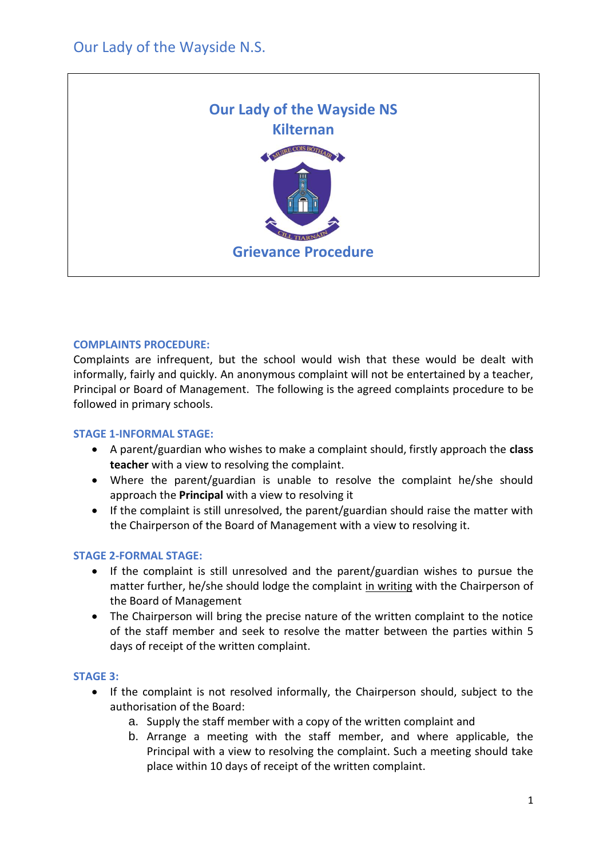

## **COMPLAINTS PROCEDURE:**

Complaints are infrequent, but the school would wish that these would be dealt with informally, fairly and quickly. An anonymous complaint will not be entertained by a teacher, Principal or Board of Management. The following is the agreed complaints procedure to be followed in primary schools.

### **STAGE 1-INFORMAL STAGE:**

- A parent/guardian who wishes to make a complaint should, firstly approach the **class teacher** with a view to resolving the complaint.
- Where the parent/guardian is unable to resolve the complaint he/she should approach the **Principal** with a view to resolving it
- If the complaint is still unresolved, the parent/guardian should raise the matter with the Chairperson of the Board of Management with a view to resolving it.

# **STAGE 2-FORMAL STAGE:**

- If the complaint is still unresolved and the parent/guardian wishes to pursue the matter further, he/she should lodge the complaint in writing with the Chairperson of the Board of Management
- The Chairperson will bring the precise nature of the written complaint to the notice of the staff member and seek to resolve the matter between the parties within 5 days of receipt of the written complaint.

### **STAGE 3:**

- If the complaint is not resolved informally, the Chairperson should, subject to the authorisation of the Board:
	- a. Supply the staff member with a copy of the written complaint and
	- b. Arrange a meeting with the staff member, and where applicable, the Principal with a view to resolving the complaint. Such a meeting should take place within 10 days of receipt of the written complaint.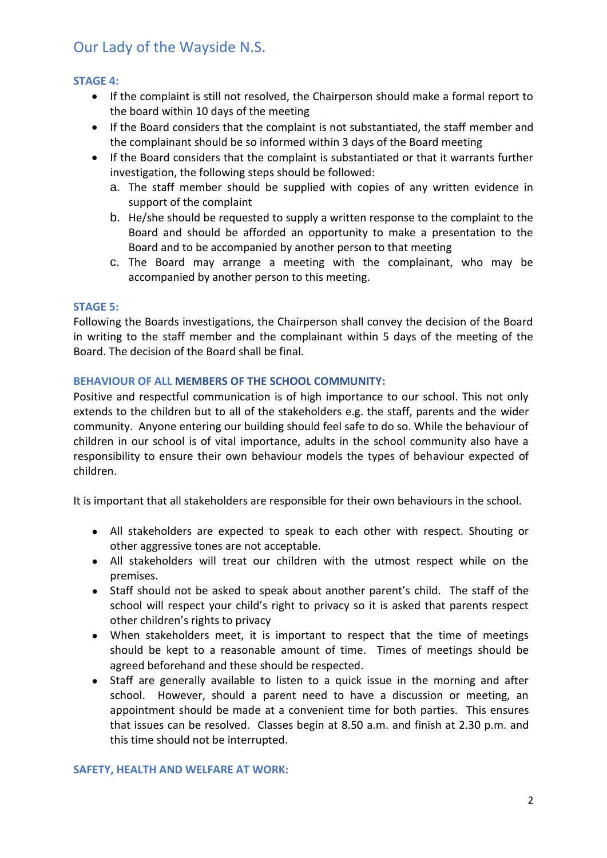# Our Lady of the Wayside N.S.

## **STAGE 4:**

- If the complaint is still not resolved, the Chairperson should make a formal report to the board within 10 days of the meeting
- If the Board considers that the complaint is not substantiated, the staff member and the complainant should be so informed within 3 days of the Board meeting
- If the Board considers that the complaint is substantiated or that it warrants further investigation, the following steps should be followed:
	- a. The staff member should be supplied with copies of any written evidence in support of the complaint
	- b. He/she should be requested to supply a written response to the complaint to the Board and should be afforded an opportunity to make a presentation to the Board and to be accompanied by another person to that meeting
	- c. The Board may arrange a meeting with the complainant, who may be accompanied by another person to this meeting.

#### **STAGE 5:**

Following the Boards investigations, the Chairperson shall convey the decision of the Board in writing to the staff member and the complainant within 5 days of the meeting of the Board. The decision of the Board shall be final.

### **BEHAVIOUR OF ALL MEMBERS OF THE SCHOOL COMMUNITY:**

Positive and respectful communication is of high importance to our school. This not only extends to the children but to all of the stakeholders e.g. the staff, parents and the wider community. Anyone entering our building should feel safe to do so. While the behaviour of children in our school is of vital importance, adults in the school community also have a responsibility to ensure their own behaviour models the types of behaviour expected of children.

It is important that all stakeholders are responsible for their own behaviours in the school.

- All stakeholders are expected to speak to each other with respect. Shouting or other aggressive tones are not acceptable.
- All stakeholders will treat our children with the utmost respect while on the premises.
- Staff should not be asked to speak about another parent's child. The staff of the school will respect your child's right to privacy so it is asked that parents respect other children's rights to privacy
- When stakeholders meet, it is important to respect that the time of meetings should be kept to a reasonable amount of time. Times of meetings should be agreed beforehand and these should be respected.
- Staff are generally available to listen to a quick issue in the morning and after school. However, should a parent need to have a discussion or meeting, an appointment should be made at a convenient time for both parties. This ensures that issues can be resolved. Classes begin at 8.50 a.m. and finish at 2.30 p.m. and this time should not be interrupted.

#### **SAFETY, HEALTH AND WELFARE AT WORK:**